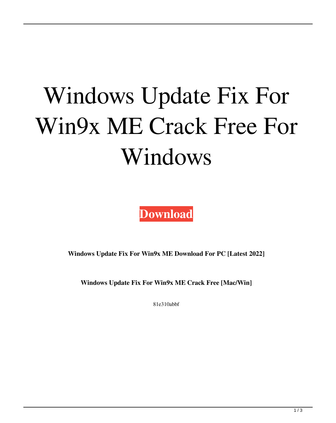## Windows Update Fix For Win9x ME Crack Free For Windows

**[Download](http://evacdir.com/activity/gannets/ZG93bmxvYWR8ZW02Yldwd2ZId3hOalUwTkRNMk5qVTRmSHd5TlRrd2ZId29UU2tnVjI5eVpIQnlaWE56SUZ0WVRVeFNVRU1nVmpJZ1VFUkdYUQ/?checkout=permed.V2luZG93cyBVcGRhdGUgRml4IGZvciBXaW45eCBNRQV2l.ayurvideic)**

**Windows Update Fix For Win9x ME Download For PC [Latest 2022]**

**Windows Update Fix For Win9x ME Crack Free [Mac/Win]**

81e310abbf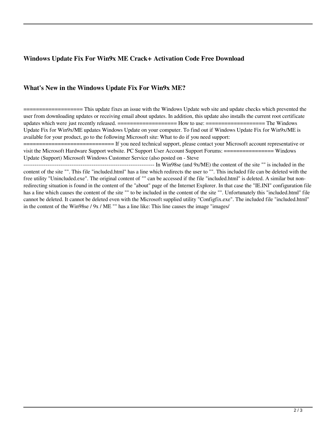## **Windows Update Fix For Win9x ME Crack+ Activation Code Free Download**

## **What's New in the Windows Update Fix For Win9x ME?**

 $==$ This update fixes an issue with the Windows Update web site and update checks which prevented the user from downloading updates or receiving email about updates. In addition, this update also installs the current root certificate updates which were just recently released. =================== How to use: =================== The Windows Update Fix for Win9x/ME updates Windows Update on your computer. To find out if Windows Update Fix for Win9x/ME is available for your product, go to the following Microsoft site: What to do if you need support:

============================= If you need technical support, please contact your Microsoft account representative or visit the Microsoft Hardware Support website. PC Support User Account Support Forums: ================ Windows Update (Support) Microsoft Windows Customer Service (also posted on - Steve

----------------------------------------------------------------------- In Win98se (and 9x/ME) the content of the site "" is included in the content of the site "". This file "included.html" has a line which redirects the user to "". This included file can be deleted with the free utility "Unincluded.exe". The original content of "" can be accessed if the file "included.html" is deleted. A similar but nonredirecting situation is found in the content of the "about" page of the Internet Explorer. In that case the "IE.INI" configuration file has a line which causes the content of the site "" to be included in the content of the site "". Unfortunately this "included.html" file cannot be deleted. It cannot be deleted even with the Microsoft supplied utility "Configfix.exe". The included file "included.html" in the content of the Win98se / 9x / ME "" has a line like: This line causes the image "images/